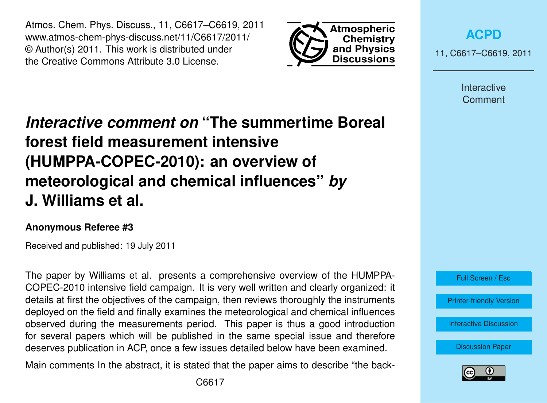Atmos. Chem. Phys. Discuss., 11, C6617–C6619, 2011 www.atmos-chem-phys-discuss.net/11/C6617/2011/ © Author(s) 2011. This work is distributed under the Creative Commons Attribute 3.0 License.



**[ACPD](http://www.atmos-chem-phys-discuss.net)**

11, C6617–C6619, 2011

Interactive **Comment** 

## *Interactive comment on* **"The summertime Boreal forest field measurement intensive (HUMPPA-COPEC-2010): an overview of meteorological and chemical influences"** *by* **J. Williams et al.**

## **Anonymous Referee #3**

Received and published: 19 July 2011

The paper by Williams et al. presents a comprehensive overview of the HUMPPA-COPEC-2010 intensive field campaign. It is very well written and clearly organized: it details at first the objectives of the campaign, then reviews thoroughly the instruments deployed on the field and finally examines the meteorological and chemical influences observed during the measurements period. This paper is thus a good introduction for several papers which will be published in the same special issue and therefore deserves publication in ACP, once a few issues detailed below have been examined.

Main comments In the abstract, it is stated that the paper aims to describe "the back-



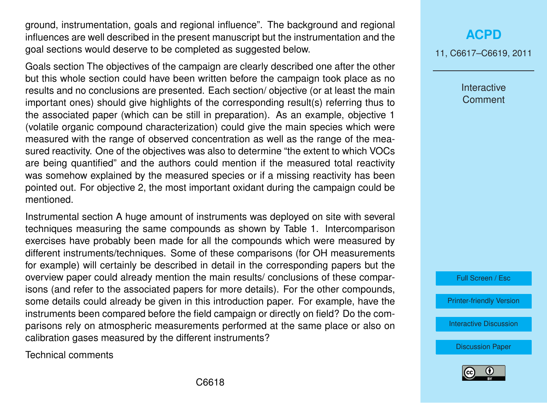ground, instrumentation, goals and regional influence". The background and regional influences are well described in the present manuscript but the instrumentation and the goal sections would deserve to be completed as suggested below.

Goals section The objectives of the campaign are clearly described one after the other but this whole section could have been written before the campaign took place as no results and no conclusions are presented. Each section/ objective (or at least the main important ones) should give highlights of the corresponding result(s) referring thus to the associated paper (which can be still in preparation). As an example, objective 1 (volatile organic compound characterization) could give the main species which were measured with the range of observed concentration as well as the range of the measured reactivity. One of the objectives was also to determine "the extent to which VOCs are being quantified" and the authors could mention if the measured total reactivity was somehow explained by the measured species or if a missing reactivity has been pointed out. For objective 2, the most important oxidant during the campaign could be mentioned.

Instrumental section A huge amount of instruments was deployed on site with several techniques measuring the same compounds as shown by Table 1. Intercomparison exercises have probably been made for all the compounds which were measured by different instruments/techniques. Some of these comparisons (for OH measurements for example) will certainly be described in detail in the corresponding papers but the overview paper could already mention the main results/ conclusions of these comparisons (and refer to the associated papers for more details). For the other compounds, some details could already be given in this introduction paper. For example, have the instruments been compared before the field campaign or directly on field? Do the comparisons rely on atmospheric measurements performed at the same place or also on calibration gases measured by the different instruments?

Technical comments

## **[ACPD](http://www.atmos-chem-phys-discuss.net)**

11, C6617–C6619, 2011

Interactive **Comment** 

Full Screen / Esc

[Printer-friendly Version](http://www.atmos-chem-phys-discuss.net/11/C6617/2011/acpd-11-C6617-2011-print.pdf)

[Interactive Discussion](http://www.atmos-chem-phys-discuss.net/11/15921/2011/acpd-11-15921-2011-discussion.html)

[Discussion Paper](http://www.atmos-chem-phys-discuss.net/11/15921/2011/acpd-11-15921-2011.pdf)